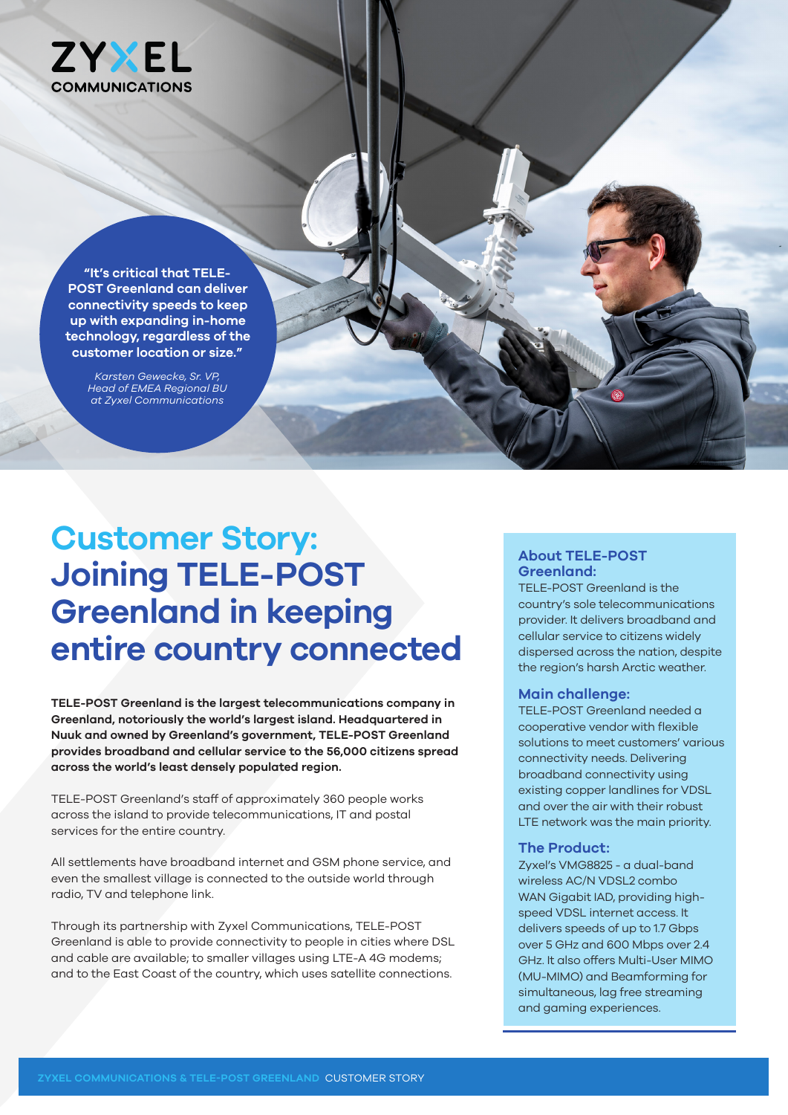

**"It's critical that TELE-POST Greenland can deliver connectivity speeds to keep up with expanding in-home technology, regardless of the customer location or size."** 

> *Karsten Gewecke, Sr. VP, Head of EMEA Regional BU at Zyxel Communications*

# **Customer Story: Joining TELE-POST Greenland in keeping entire country connected**

**TELE-POST Greenland is the largest telecommunications company in Greenland, notoriously the world's largest island. Headquartered in Nuuk and owned by Greenland's government, TELE-POST Greenland provides broadband and cellular service to the 56,000 citizens spread across the world's least densely populated region.** 

TELE-POST Greenland's staff of approximately 360 people works across the island to provide telecommunications, IT and postal services for the entire country.

All settlements have broadband internet and GSM phone service, and even the smallest village is connected to the outside world through radio, TV and telephone link.

Through its partnership with Zyxel Communications, TELE-POST Greenland is able to provide connectivity to people in cities where DSL and cable are available; to smaller villages using LTE-A 4G modems; and to the East Coast of the country, which uses satellite connections.

# **About TELE-POST Greenland:**

TELE-POST Greenland is the country's sole telecommunications provider. It delivers broadband and cellular service to citizens widely dispersed across the nation, despite the region's harsh Arctic weather.

### **Main challenge:**

TELE-POST Greenland needed a cooperative vendor with flexible solutions to meet customers' various connectivity needs. Delivering broadband connectivity using existing copper landlines for VDSL and over the air with their robust LTE network was the main priority.

# **The Product:**

Zyxel's VMG8825 - a dual-band wireless AC/N VDSL2 combo WAN Gigabit IAD, providing highspeed VDSL internet access. It delivers speeds of up to 1.7 Gbps over 5 GHz and 600 Mbps over 2.4 GHz. It also offers Multi-User MIMO (MU-MIMO) and Beamforming for simultaneous, lag free streaming and gaming experiences.